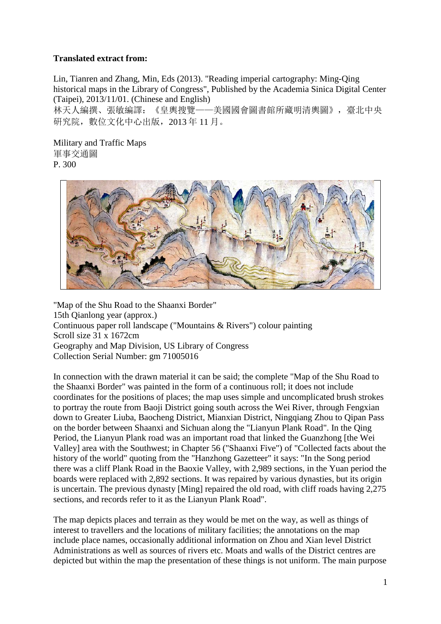## **Translated extract from:**

Lin, Tianren and Zhang, Min, Eds (2013). "Reading imperial cartography: Ming-Qing historical maps in the Library of Congress", Published by the Academia Sinica Digital Center (Taipei), 2013/11/01. (Chinese and English) 林天人編撰、張敏編譯:《皇輿搜覽——美國國會圖書館所藏明清輿圖》,臺北中央 硏究院,數位文化中心出版,2013 年 11 月。

Military and Traffic Maps 軍事交通圖

P. 300



"Map of the Shu Road to the Shaanxi Border" 15th Qianlong year (approx.) Continuous paper roll landscape ("Mountains & Rivers") colour painting Scroll size 31 x 1672cm Geography and Map Division, US Library of Congress Collection Serial Number: gm 71005016

In connection with the drawn material it can be said; the complete "Map of the Shu Road to the Shaanxi Border" was painted in the form of a continuous roll; it does not include coordinates for the positions of places; the map uses simple and uncomplicated brush strokes to portray the route from Baoji District going south across the Wei River, through Fengxian down to Greater Liuba, Baocheng District, Mianxian District, Ningqiang Zhou to Qipan Pass on the border between Shaanxi and Sichuan along the "Lianyun Plank Road". In the Qing Period, the Lianyun Plank road was an important road that linked the Guanzhong [the Wei Valley] area with the Southwest; in Chapter 56 ("Shaanxi Five") of "Collected facts about the history of the world" quoting from the "Hanzhong Gazetteer" it says: "In the Song period there was a cliff Plank Road in the Baoxie Valley, with 2,989 sections, in the Yuan period the boards were replaced with 2,892 sections. It was repaired by various dynasties, but its origin is uncertain. The previous dynasty [Ming] repaired the old road, with cliff roads having 2,275 sections, and records refer to it as the Lianyun Plank Road".

The map depicts places and terrain as they would be met on the way, as well as things of interest to travellers and the locations of military facilities; the annotations on the map include place names, occasionally additional information on Zhou and Xian level District Administrations as well as sources of rivers etc. Moats and walls of the District centres are depicted but within the map the presentation of these things is not uniform. The main purpose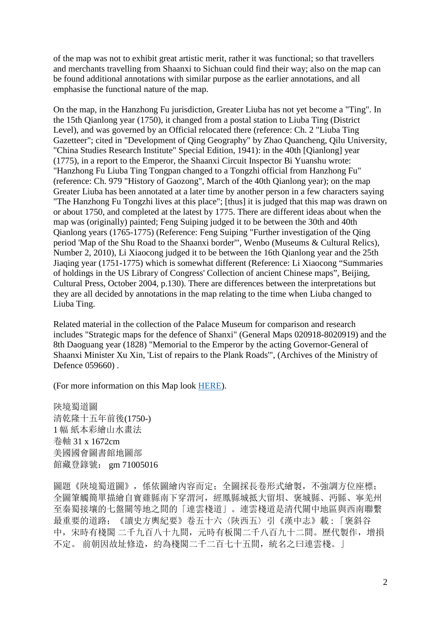of the map was not to exhibit great artistic merit, rather it was functional; so that travellers and merchants travelling from Shaanxi to Sichuan could find their way; also on the map can be found additional annotations with similar purpose as the earlier annotations, and all emphasise the functional nature of the map.

On the map, in the Hanzhong Fu jurisdiction, Greater Liuba has not yet become a "Ting". In the 15th Qianlong year (1750), it changed from a postal station to Liuba Ting (District Level), and was governed by an Official relocated there (reference: Ch. 2 "Liuba Ting Gazetteer"; cited in "Development of Qing Geography" by Zhao Quancheng, Qilu University, "China Studies Research Institute" Special Edition, 1941): in the 40th [Qianlong] year (1775), in a report to the Emperor, the Shaanxi Circuit Inspector Bi Yuanshu wrote: "Hanzhong Fu Liuba Ting Tongpan changed to a Tongzhi official from Hanzhong Fu" (reference: Ch. 979 "History of Gaozong", March of the 40th Qianlong year); on the map Greater Liuba has been annotated at a later time by another person in a few characters saying "The Hanzhong Fu Tongzhi lives at this place"; [thus] it is judged that this map was drawn on or about 1750, and completed at the latest by 1775. There are different ideas about when the map was (originally) painted; Feng Suiping judged it to be between the 30th and 40th Qianlong years (1765-1775) (Reference: Feng Suiping "Further investigation of the Qing period 'Map of the Shu Road to the Shaanxi border'", Wenbo (Museums & Cultural Relics), Number 2, 2010), Li Xiaocong judged it to be between the 16th Qianlong year and the 25th Jiaqing year (1751-1775) which is somewhat different (Reference: Li Xiaocong "Summaries of holdings in the US Library of Congress' Collection of ancient Chinese maps", Beijing, Cultural Press, October 2004, p.130). There are differences between the interpretations but they are all decided by annotations in the map relating to the time when Liuba changed to Liuba Ting.

Related material in the collection of the Palace Museum for comparison and research includes "Strategic maps for the defence of Shanxi" (General Maps 020918-8020919) and the 8th Daoguang year (1828) "Memorial to the Emperor by the acting Governor-General of Shaanxi Minister Xu Xin, 'List of repairs to the Plank Roads'", (Archives of the Ministry of Defence 059660) .

(For more information on this Map look [HERE\)](http://www.qinshuroads.org/LOC_Scroll_web/LOC_Scroll.htm).

陝境蜀道圖 清乾隆十五年前後(1750-) 1 幅 紙本彩繪山水畫法 卷軸 31 x 1672cm 美國國會圖書館地圖部 館藏登錄號: gm 71005016

圖題《陝境蜀道圖》,係依圖繪內容而定;全圖採長卷形式繪製,不強調方位座標; 全圖筆觸簡單描繪自寶雞縣南下穿渭河,經鳳縣城抵大留垻、褒城縣、沔縣、寧羌州 至秦蜀接壤的七盤關等地之間的「連雲棧道」。連雲棧道是清代關中地區與西南聯繫 最重要的道路;《讀史方輿紀要》卷五十六〈陝西五〉引《漢中志》載 : 「褒斜谷 中,宋時有棧閣 二千九百八十九間,元時有板閣二千八百九十二間。歷代製作,增損 不定。 前朝因故址修造,約為棧閣二千二百七十五間,統名之曰連雲棧。」